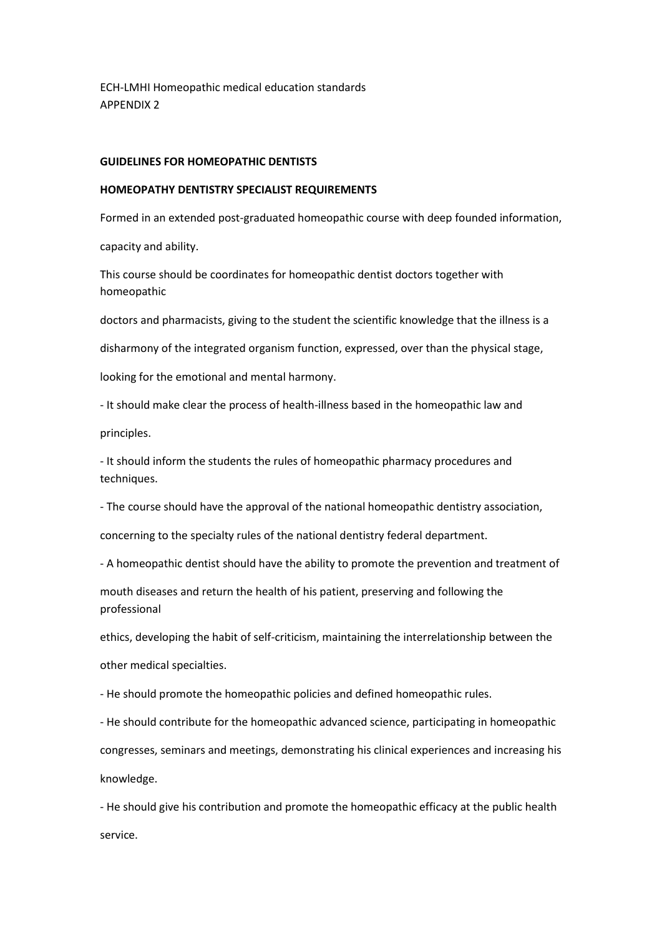ECH-LMHI Homeopathic medical education standards APPENDIX 2

### **GUIDELINES FOR HOMEOPATHIC DENTISTS**

#### **HOMEOPATHY DENTISTRY SPECIALIST REQUIREMENTS**

Formed in an extended post-graduated homeopathic course with deep founded information,

capacity and ability.

This course should be coordinates for homeopathic dentist doctors together with homeopathic

doctors and pharmacists, giving to the student the scientific knowledge that the illness is a

disharmony of the integrated organism function, expressed, over than the physical stage,

looking for the emotional and mental harmony.

- It should make clear the process of health-illness based in the homeopathic law and

principles.

- It should inform the students the rules of homeopathic pharmacy procedures and techniques.

- The course should have the approval of the national homeopathic dentistry association,

concerning to the specialty rules of the national dentistry federal department.

- A homeopathic dentist should have the ability to promote the prevention and treatment of

mouth diseases and return the health of his patient, preserving and following the professional

ethics, developing the habit of self-criticism, maintaining the interrelationship between the

other medical specialties.

- He should promote the homeopathic policies and defined homeopathic rules.

- He should contribute for the homeopathic advanced science, participating in homeopathic

congresses, seminars and meetings, demonstrating his clinical experiences and increasing his knowledge.

- He should give his contribution and promote the homeopathic efficacy at the public health service.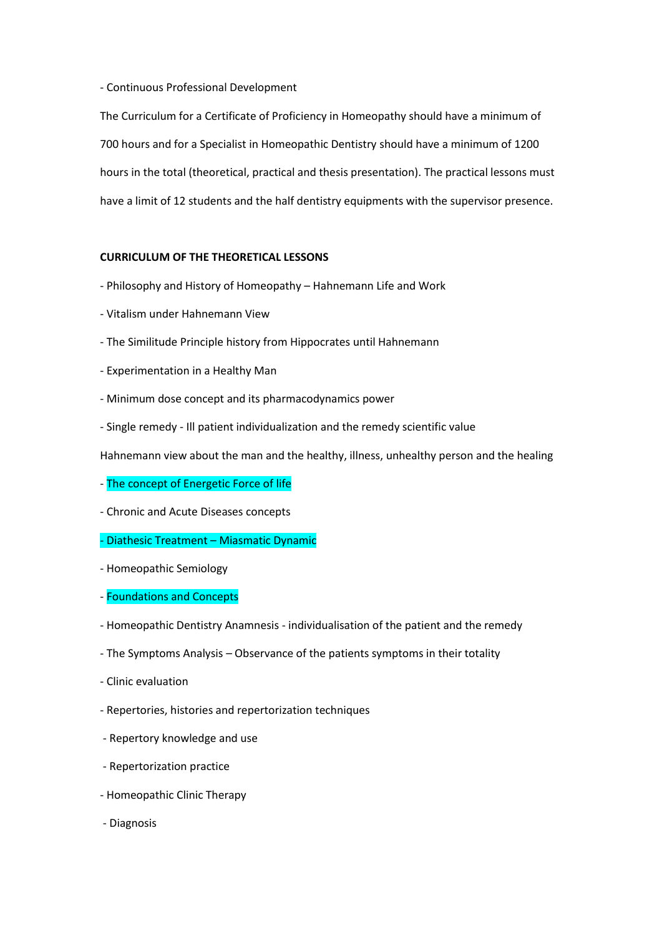### - Continuous Professional Development

The Curriculum for a Certificate of Proficiency in Homeopathy should have a minimum of 700 hours and for a Specialist in Homeopathic Dentistry should have a minimum of 1200 hours in the total (theoretical, practical and thesis presentation). The practical lessons must have a limit of 12 students and the half dentistry equipments with the supervisor presence.

# **CURRICULUM OF THE THEORETICAL LESSONS**

- Philosophy and History of Homeopathy Hahnemann Life and Work
- Vitalism under Hahnemann View
- The Similitude Principle history from Hippocrates until Hahnemann
- Experimentation in a Healthy Man
- Minimum dose concept and its pharmacodynamics power
- Single remedy Ill patient individualization and the remedy scientific value

Hahnemann view about the man and the healthy, illness, unhealthy person and the healing

- The concept of Energetic Force of life
- Chronic and Acute Diseases concepts

# - Diathesic Treatment – Miasmatic Dynamic

- Homeopathic Semiology
- Foundations and Concepts
- Homeopathic Dentistry Anamnesis individualisation of the patient and the remedy
- The Symptoms Analysis Observance of the patients symptoms in their totality
- Clinic evaluation
- Repertories, histories and repertorization techniques
- Repertory knowledge and use
- Repertorization practice
- Homeopathic Clinic Therapy
- Diagnosis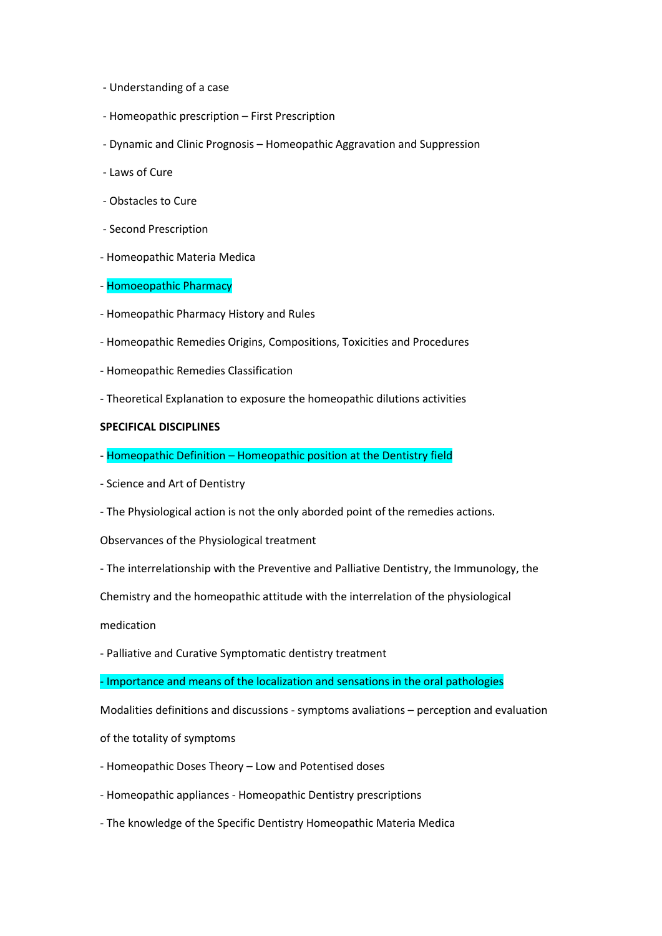- Understanding of a case
- Homeopathic prescription First Prescription
- Dynamic and Clinic Prognosis Homeopathic Aggravation and Suppression
- Laws of Cure
- Obstacles to Cure
- Second Prescription
- Homeopathic Materia Medica
- Homoeopathic Pharmacy
- Homeopathic Pharmacy History and Rules
- Homeopathic Remedies Origins, Compositions, Toxicities and Procedures
- Homeopathic Remedies Classification
- Theoretical Explanation to exposure the homeopathic dilutions activities

### **SPECIFICAL DISCIPLINES**

- Homeopathic Definition Homeopathic position at the Dentistry field
- Science and Art of Dentistry
- The Physiological action is not the only aborded point of the remedies actions.

Observances of the Physiological treatment

- The interrelationship with the Preventive and Palliative Dentistry, the Immunology, the

Chemistry and the homeopathic attitude with the interrelation of the physiological

medication

- Palliative and Curative Symptomatic dentistry treatment

- Importance and means of the localization and sensations in the oral pathologies

Modalities definitions and discussions - symptoms avaliations – perception and evaluation

of the totality of symptoms

- Homeopathic Doses Theory Low and Potentised doses
- Homeopathic appliances Homeopathic Dentistry prescriptions
- The knowledge of the Specific Dentistry Homeopathic Materia Medica